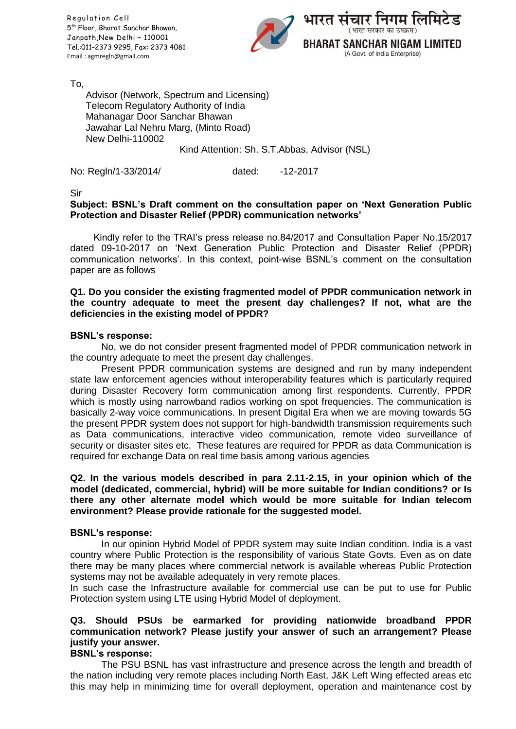Regulation Cell 5 th Floor, Bharat Sanchar Bhawan, Janpath,New Delhi – 110001 Tel.:011–2373 9295, Fax: 2373 4081 Email : agmregln@gmail.com



To,

Advisor (Network, Spectrum and Licensing) Telecom Regulatory Authority of India Mahanagar Door Sanchar Bhawan Jawahar Lal Nehru Marg, (Minto Road) New Delhi-110002 Kind Attention: Sh. S.T.Abbas, Advisor (NSL)

No: Regln/1-33/2014/ dated: -12-2017

Sir

## **Subject: BSNL's Draft comment on the consultation paper on 'Next Generation Public Protection and Disaster Relief (PPDR) communication networks'**

Kindly refer to the TRAI's press release no.84/2017 and Consultation Paper No.15/2017 dated 09-10-2017 on 'Next Generation Public Protection and Disaster Relief (PPDR) communication networks'. In this context, point-wise BSNL's comment on the consultation paper are as follows

### **Q1. Do you consider the existing fragmented model of PPDR communication network in the country adequate to meet the present day challenges? If not, what are the deficiencies in the existing model of PPDR?**

### **BSNL's response:**

No, we do not consider present fragmented model of PPDR communication network in the country adequate to meet the present day challenges.

Present PPDR communication systems are designed and run by many independent state law enforcement agencies without interoperability features which is particularly required during Disaster Recovery form communication among first respondents. Currently, PPDR which is mostly using narrowband radios working on spot frequencies. The communication is basically 2-way voice communications. In present Digital Era when we are moving towards 5G the present PPDR system does not support for high-bandwidth transmission requirements such as Data communications, interactive video communication, remote video surveillance of security or disaster sites etc. These features are required for PPDR as data Communication is required for exchange Data on real time basis among various agencies

### **Q2. In the various models described in para 2.11-2.15, in your opinion which of the model (dedicated, commercial, hybrid) will be more suitable for Indian conditions? or Is there any other alternate model which would be more suitable for Indian telecom environment? Please provide rationale for the suggested model.**

### **BSNL's response:**

In our opinion Hybrid Model of PPDR system may suite Indian condition. India is a vast country where Public Protection is the responsibility of various State Govts. Even as on date there may be many places where commercial network is available whereas Public Protection systems may not be available adequately in very remote places.

In such case the Infrastructure available for commercial use can be put to use for Public Protection system using LTE using Hybrid Model of deployment.

# **Q3. Should PSUs be earmarked for providing nationwide broadband PPDR communication network? Please justify your answer of such an arrangement? Please justify your answer.**

### **BSNL's response:**

The PSU BSNL has vast infrastructure and presence across the length and breadth of the nation including very remote places including North East, J&K Left Wing effected areas etc this may help in minimizing time for overall deployment, operation and maintenance cost by